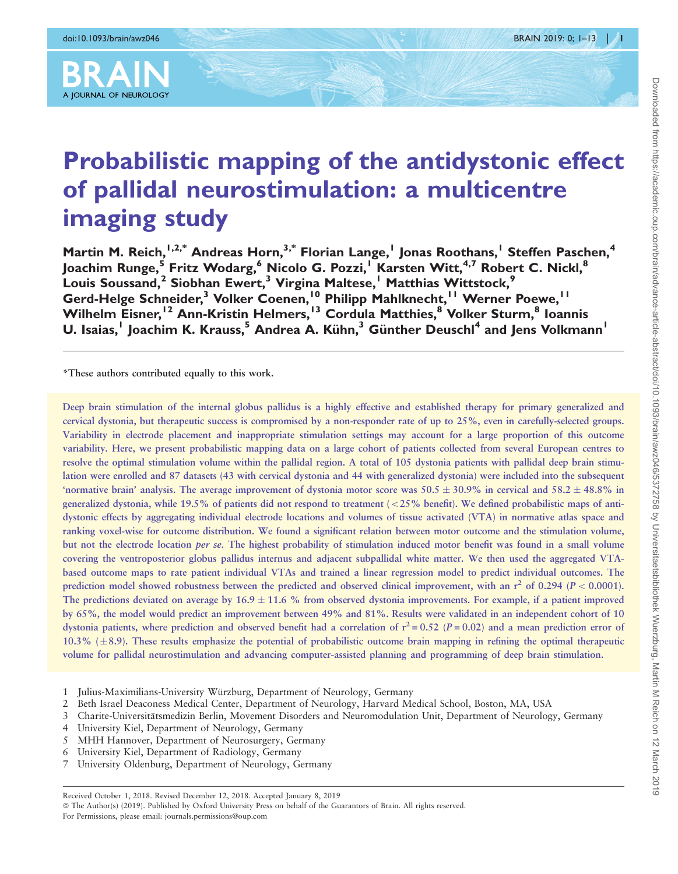

imaging study

# Probabilistic mapping of the antidystonic effect of pallidal neurostimulation: a multicentre Martin M. Reich,<sup>1,2,\*</sup> Andreas Horn,<sup>3,\*</sup> Florian Lange,<sup>1</sup> Jonas Roothans,<sup>1</sup> Steffen Paschen,<sup>4</sup> Joachim Runge,<sup>5</sup> Fritz Wodarg,<sup>6</sup> Nicolo G. Pozzi,<sup>1</sup> Karsten Witt,<sup>4,7</sup> Robert C. Nickl,<sup>8</sup> Louis Soussand,<sup>2</sup> Siobhan Ewert,<sup>3</sup> Virgina Maltese,<sup>1</sup> Matthias Wittstock,<sup>9</sup>

Gerd-Helge Schneider,<sup>3</sup> Volker Coenen,<sup>10</sup> Philipp Mahlknecht,<sup>11</sup> Werner Poewe,<sup>11</sup> Wilhelm  ${\sf Eisner,}^{12}$  Ann-Kristin Helmers,  $^{13}$  Cordula Matthies,  $^8$  Volker Sturm,  $^8$  Ioannis U. Isaias,<sup>1</sup> Joachim K. Krauss,<sup>5</sup> Andrea A. Kühn,<sup>3</sup> Günther Deuschl<sup>4</sup> and Jens Volkmann<sup>1</sup>

\*These authors contributed equally to this work.

Deep brain stimulation of the internal globus pallidus is a highly effective and established therapy for primary generalized and cervical dystonia, but therapeutic success is compromised by a non-responder rate of up to 25%, even in carefully-selected groups. Variability in electrode placement and inappropriate stimulation settings may account for a large proportion of this outcome variability. Here, we present probabilistic mapping data on a large cohort of patients collected from several European centres to resolve the optimal stimulation volume within the pallidal region. A total of 105 dystonia patients with pallidal deep brain stimulation were enrolled and 87 datasets (43 with cervical dystonia and 44 with generalized dystonia) were included into the subsequent 'normative brain' analysis. The average improvement of dystonia motor score was  $50.5 \pm 30.9\%$  in cervical and  $58.2 \pm 48.8\%$  in generalized dystonia, while 19.5% of patients did not respond to treatment  $\langle 25\%$  benefit). We defined probabilistic maps of antidystonic effects by aggregating individual electrode locations and volumes of tissue activated (VTA) in normative atlas space and ranking voxel-wise for outcome distribution. We found a significant relation between motor outcome and the stimulation volume, but not the electrode location *per se*. The highest probability of stimulation induced motor benefit was found in a small volume covering the ventroposterior globus pallidus internus and adjacent subpallidal white matter. We then used the aggregated VTAbased outcome maps to rate patient individual VTAs and trained a linear regression model to predict individual outcomes. The prediction model showed robustness between the predicted and observed clinical improvement, with an  $r^2$  of 0.294 ( $P < 0.0001$ ). The predictions deviated on average by  $16.9 \pm 11.6$  % from observed dystonia improvements. For example, if a patient improved by 65%, the model would predict an improvement between 49% and 81%. Results were validated in an independent cohort of 10 dystonia patients, where prediction and observed benefit had a correlation of  $r^2 = 0.52$  (P = 0.02) and a mean prediction error of  $10.3\%$  ( $\pm 8.9$ ). These results emphasize the potential of probabilistic outcome brain mapping in refining the optimal therapeutic volume for pallidal neurostimulation and advancing computer-assisted planning and programming of deep brain stimulation.

1 Julius-Maximilians-University Würzburg, Department of Neurology, Germany

- 2 Beth Israel Deaconess Medical Center, Department of Neurology, Harvard Medical School, Boston, MA, USA
- 3 Charite-Universitätsmedizin Berlin, Movement Disorders and Neuromodulation Unit, Department of Neurology, Germany
- 4 University Kiel, Department of Neurology, Germany
- 5 MHH Hannover, Department of Neurosurgery, Germany
- 6 University Kiel, Department of Radiology, Germany
- 7 University Oldenburg, Department of Neurology, Germany

Received October 1, 2018. Revised December 12, 2018. Accepted January 8, 2019

© The Author(s) (2019). Published by Oxford University Press on behalf of the Guarantors of Brain. All rights reserved. For Permissions, please email: journals.permissions@oup.com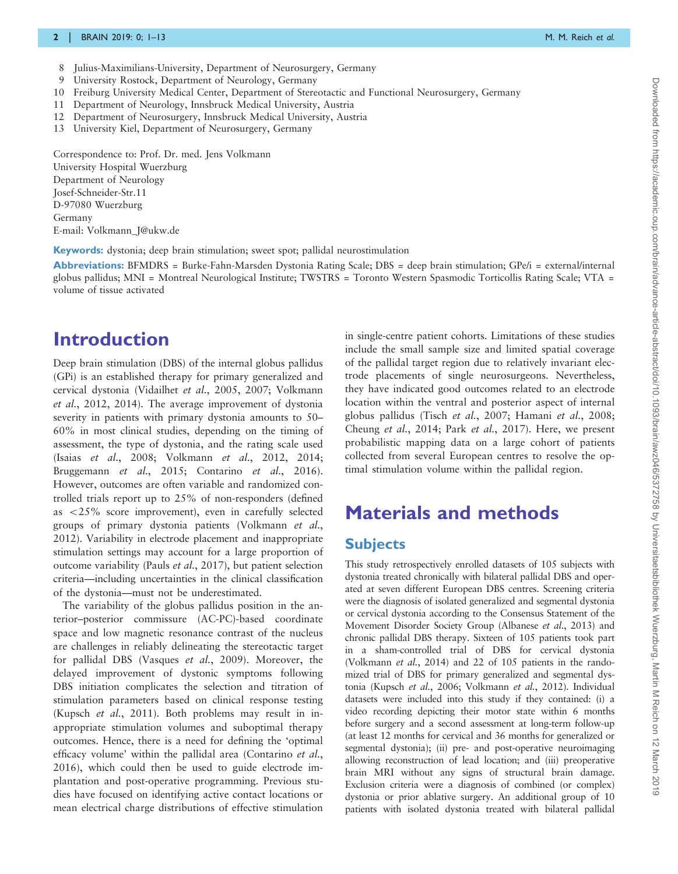- 8 Julius-Maximilians-University, Department of Neurosurgery, Germany
- 9 University Rostock, Department of Neurology, Germany
- 10 Freiburg University Medical Center, Department of Stereotactic and Functional Neurosurgery, Germany
- 11 Department of Neurology, Innsbruck Medical University, Austria
- 12 Department of Neurosurgery, Innsbruck Medical University, Austria
- 13 University Kiel, Department of Neurosurgery, Germany

Correspondence to: Prof. Dr. med. Jens Volkmann University Hospital Wuerzburg Department of Neurology Josef-Schneider-Str.11 D-97080 Wuerzburg Germany E-mail: Volkmann\_J@ukw.de

Keywords: dystonia; deep brain stimulation; sweet spot; pallidal neurostimulation

Abbreviations: BFMDRS = Burke-Fahn-Marsden Dystonia Rating Scale; DBS = deep brain stimulation; GPe/i = external/internal globus pallidus; MNI = Montreal Neurological Institute; TWSTRS = Toronto Western Spasmodic Torticollis Rating Scale; VTA = volume of tissue activated

# Introduction

Deep brain stimulation (DBS) of the internal globus pallidus (GPi) is an established therapy for primary generalized and cervical dystonia ([Vidailhet](#page-12-0) et al., 2005, [2007; Volkmann](#page-12-0) et al.[, 2012, 2014](#page-12-0)). The average improvement of dystonia severity in patients with primary dystonia amounts to 50– 60% in most clinical studies, depending on the timing of assessment, the type of dystonia, and the rating scale used (Isaias et al.[, 2008; Volkmann](#page-12-0) et al., 2012, [2014;](#page-12-0) [Bruggemann](#page-12-0) et al., 2015; [Contarino](#page-12-0) et al., 2016). However, outcomes are often variable and randomized controlled trials report up to 25% of non-responders (defined as  $<$  25% score improvement), even in carefully selected groups of primary dystonia patients [\(Volkmann](#page-12-0) et al., [2012\)](#page-12-0). Variability in electrode placement and inappropriate stimulation settings may account for a large proportion of outcome variability (Pauls et al.[, 2017](#page-12-0)), but patient selection criteria—including uncertainties in the clinical classification of the dystonia—must not be underestimated.

The variability of the globus pallidus position in the anterior–posterior commissure (AC-PC)-based coordinate space and low magnetic resonance contrast of the nucleus are challenges in reliably delineating the stereotactic target for pallidal DBS [\(Vasques](#page-12-0) et al., 2009). Moreover, the delayed improvement of dystonic symptoms following DBS initiation complicates the selection and titration of stimulation parameters based on clinical response testing [\(Kupsch](#page-12-0) et al., 2011). Both problems may result in inappropriate stimulation volumes and suboptimal therapy outcomes. Hence, there is a need for defining the 'optimal efficacy volume' within the pallidal area ([Contarino](#page-12-0) et al., [2016](#page-12-0)), which could then be used to guide electrode implantation and post-operative programming. Previous studies have focused on identifying active contact locations or mean electrical charge distributions of effective stimulation

in single-centre patient cohorts. Limitations of these studies include the small sample size and limited spatial coverage of the pallidal target region due to relatively invariant electrode placements of single neurosurgeons. Nevertheless, they have indicated good outcomes related to an electrode location within the ventral and posterior aspect of internal globus pallidus (Tisch et al.[, 2007; Hamani](#page-12-0) et al., 2008; [Cheung](#page-12-0) et al., 2014; Park et al.[, 2017](#page-12-0)). Here, we present probabilistic mapping data on a large cohort of patients collected from several European centres to resolve the optimal stimulation volume within the pallidal region.

# Materials and methods

#### Subjects

This study retrospectively enrolled datasets of 105 subjects with dystonia treated chronically with bilateral pallidal DBS and operated at seven different European DBS centres. Screening criteria were the diagnosis of isolated generalized and segmental dystonia or cervical dystonia according to the Consensus Statement of the Movement Disorder Society Group [\(Albanese](#page-11-0) et al., 2013) and chronic pallidal DBS therapy. Sixteen of 105 patients took part in a sham-controlled trial of DBS for cervical dystonia ([Volkmann](#page-12-0) et al., 2014) and 22 of 105 patients in the randomized trial of DBS for primary generalized and segmental dystonia ([Kupsch](#page-12-0) et al., 2006; [Volkmann](#page-12-0) et al., 2012). Individual datasets were included into this study if they contained: (i) a video recording depicting their motor state within 6 months before surgery and a second assessment at long-term follow-up (at least 12 months for cervical and 36 months for generalized or segmental dystonia); (ii) pre- and post-operative neuroimaging allowing reconstruction of lead location; and (iii) preoperative brain MRI without any signs of structural brain damage. Exclusion criteria were a diagnosis of combined (or complex) dystonia or prior ablative surgery. An additional group of 10 patients with isolated dystonia treated with bilateral pallidal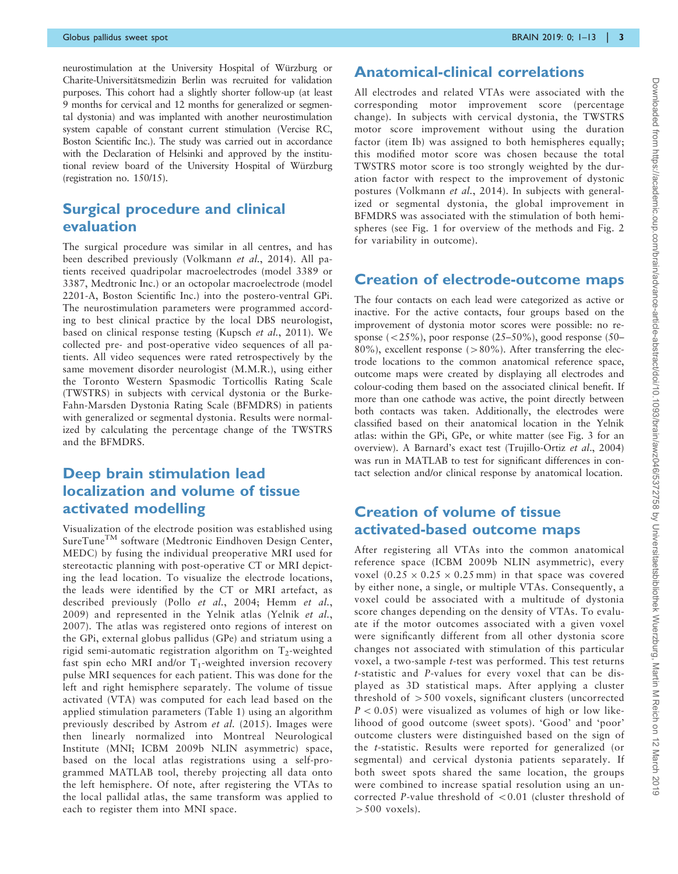neurostimulation at the University Hospital of Würzburg or Charite-Universitätsmedizin Berlin was recruited for validation purposes. This cohort had a slightly shorter follow-up (at least 9 months for cervical and 12 months for generalized or segmental dystonia) and was implanted with another neurostimulation system capable of constant current stimulation (Vercise RC, Boston Scientific Inc.). The study was carried out in accordance with the Declaration of Helsinki and approved by the institutional review board of the University Hospital of Würzburg (registration no. 150/15).

## Surgical procedure and clinical evaluation

The surgical procedure was similar in all centres, and has been described previously [\(Volkmann](#page-12-0) et al., 2014). All patients received quadripolar macroelectrodes (model 3389 or 3387, Medtronic Inc.) or an octopolar macroelectrode (model 2201-A, Boston Scientific Inc.) into the postero-ventral GPi. The neurostimulation parameters were programmed according to best clinical practice by the local DBS neurologist, based on clinical response testing [\(Kupsch](#page-12-0) et al., 2011). We collected pre- and post-operative video sequences of all patients. All video sequences were rated retrospectively by the same movement disorder neurologist (M.M.R.), using either the Toronto Western Spasmodic Torticollis Rating Scale (TWSTRS) in subjects with cervical dystonia or the Burke-Fahn-Marsden Dystonia Rating Scale (BFMDRS) in patients with generalized or segmental dystonia. Results were normalized by calculating the percentage change of the TWSTRS and the BFMDRS.

## Deep brain stimulation lead localization and volume of tissue activated modelling

Visualization of the electrode position was established using SureTuneTM software (Medtronic Eindhoven Design Center, MEDC) by fusing the individual preoperative MRI used for stereotactic planning with post-operative CT or MRI depicting the lead location. To visualize the electrode locations, the leads were identified by the CT or MRI artefact, as described previously (Pollo et al.[, 2004](#page-12-0); [Hemm](#page-12-0) et al., [2009](#page-12-0)) and represented in the Yelnik atlas ([Yelnik](#page-12-0) et al., [2007](#page-12-0)). The atlas was registered onto regions of interest on the GPi, external globus pallidus (GPe) and striatum using a rigid semi-automatic registration algorithm on  $T_2$ -weighted fast spin echo MRI and/or  $T_1$ -weighted inversion recovery pulse MRI sequences for each patient. This was done for the left and right hemisphere separately. The volume of tissue activated (VTA) was computed for each lead based on the applied stimulation parameters ([Table 1\)](#page-3-0) using an algorithm previously described by [Astrom](#page-11-0) et al. (2015). Images were then linearly normalized into Montreal Neurological Institute (MNI; ICBM 2009b NLIN asymmetric) space, based on the local atlas registrations using a self-programmed MATLAB tool, thereby projecting all data onto the left hemisphere. Of note, after registering the VTAs to the local pallidal atlas, the same transform was applied to each to register them into MNI space.

#### Anatomical-clinical correlations

All electrodes and related VTAs were associated with the corresponding motor improvement score (percentage change). In subjects with cervical dystonia, the TWSTRS motor score improvement without using the duration factor (item Ib) was assigned to both hemispheres equally; this modified motor score was chosen because the total TWSTRS motor score is too strongly weighted by the duration factor with respect to the improvement of dystonic postures ([Volkmann](#page-12-0) et al., 2014). In subjects with generalized or segmental dystonia, the global improvement in BFMDRS was associated with the stimulation of both hemispheres (see [Fig. 1](#page-3-0) for overview of the methods and [Fig. 2](#page-4-0) for variability in outcome).

#### Creation of electrode-outcome maps

The four contacts on each lead were categorized as active or inactive. For the active contacts, four groups based on the improvement of dystonia motor scores were possible: no response ( $\langle 25\%$ ), poor response (25–50%), good response (50– 80%), excellent response ( $>80\%$ ). After transferring the electrode locations to the common anatomical reference space, outcome maps were created by displaying all electrodes and colour-coding them based on the associated clinical benefit. If more than one cathode was active, the point directly between both contacts was taken. Additionally, the electrodes were classified based on their anatomical location in the Yelnik atlas: within the GPi, GPe, or white matter (see [Fig. 3](#page-4-0) for an overview). A Barnard's exact test ([Trujillo-Ortiz](#page-12-0) et al., 2004) was run in MATLAB to test for significant differences in contact selection and/or clinical response by anatomical location.

## Creation of volume of tissue activated-based outcome maps

After registering all VTAs into the common anatomical reference space (ICBM 2009b NLIN asymmetric), every voxel (0.25  $\times$  0.25  $\times$  0.25 mm) in that space was covered by either none, a single, or multiple VTAs. Consequently, a voxel could be associated with a multitude of dystonia score changes depending on the density of VTAs. To evaluate if the motor outcomes associated with a given voxel were significantly different from all other dystonia score changes not associated with stimulation of this particular voxel, a two-sample t-test was performed. This test returns t-statistic and P-values for every voxel that can be displayed as 3D statistical maps. After applying a cluster threshold of  $>500$  voxels, significant clusters (uncorrected  $P < 0.05$ ) were visualized as volumes of high or low likelihood of good outcome (sweet spots). 'Good' and 'poor' outcome clusters were distinguished based on the sign of the t-statistic. Results were reported for generalized (or segmental) and cervical dystonia patients separately. If both sweet spots shared the same location, the groups were combined to increase spatial resolution using an uncorrected P-value threshold of  $< 0.01$  (cluster threshold of  $>$  500 voxels).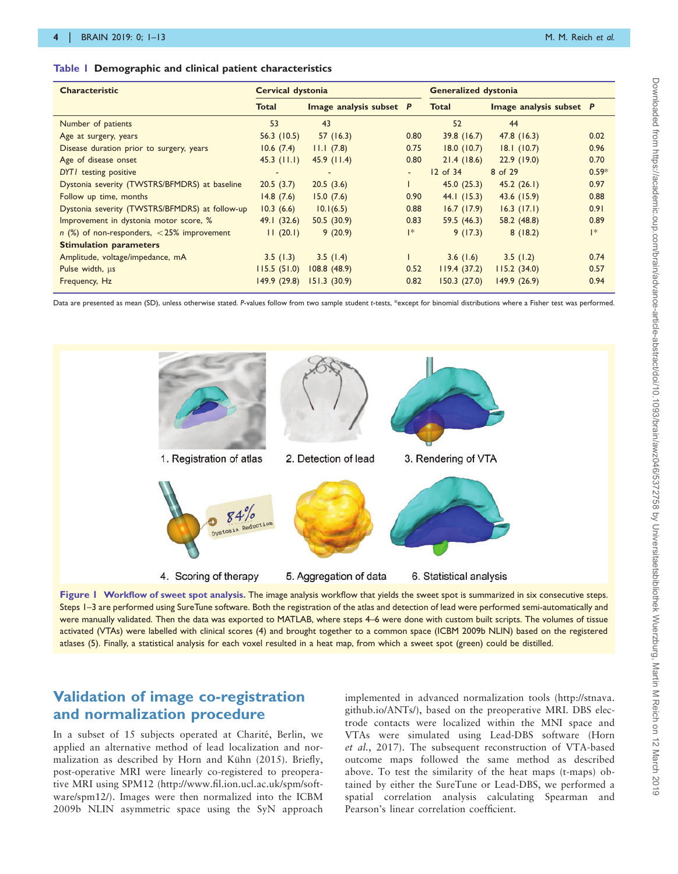#### <span id="page-3-0"></span>Table 1 Demographic and clinical patient characteristics

| <b>Characteristic</b>                                 | Cervical dystonia |                         |                          | <b>Generalized dystonia</b> |                         |                |
|-------------------------------------------------------|-------------------|-------------------------|--------------------------|-----------------------------|-------------------------|----------------|
|                                                       | <b>Total</b>      | Image analysis subset P |                          | <b>Total</b>                | Image analysis subset P |                |
| Number of patients                                    | 53                | 43                      |                          | 52                          | 44                      |                |
| Age at surgery, years                                 | 56.3(10.5)        | 57(16.3)                | 0.80                     | 39.8(16.7)                  | 47.8(16.3)              | 0.02           |
| Disease duration prior to surgery, years              | 10.6(7.4)         | 11.1(7.8)               | 0.75                     | 18.0(10.7)                  | 18.1(10.7)              | 0.96           |
| Age of disease onset                                  | $45.3$ (11.1)     | $45.9$ (11.4)           | 0.80                     | 21.4(18.6)                  | 22.9(19.0)              | 0.70           |
| DYT1 testing positive                                 |                   |                         | $\overline{\phantom{a}}$ | $12$ of $34$                | 8 of 29                 | $0.59*$        |
| Dystonia severity (TWSTRS/BFMDRS) at baseline         | 20.5(3.7)         | 20.5(3.6)               |                          | 45.0(25.3)                  | 45.2(26.1)              | 0.97           |
| Follow up time, months                                | 14.8(7.6)         | 15.0(7.6)               | 0.90                     | 44.1(15.3)                  | 43.6 (15.9)             | 0.88           |
| Dystonia severity (TWSTRS/BFMDRS) at follow-up        | 10.3(6.6)         | 10.1(6.5)               | 0.88                     | 16.7(17.9)                  | $16.3$ (17.1)           | 0.91           |
| Improvement in dystonia motor score, %                | 49.1 (32.6)       | 50.5 (30.9)             | 0.83                     | 59.5(46.3)                  | 58.2 (48.8)             | 0.89           |
| $n$ (%) of non-responders, $\langle 25\%$ improvement | 11(20.1)          | 9(20.9)                 | $\mathsf{I}^*$           | 9(17.3)                     | 8(18.2)                 | $\mathsf{I}^*$ |
| <b>Stimulation parameters</b>                         |                   |                         |                          |                             |                         |                |
| Amplitude, voltage/impedance, mA                      | 3.5(1.3)          | $3.5$ (1.4)             |                          | 3.6(1.6)                    | 3.5(1.2)                | 0.74           |
| Pulse width, us                                       | 115.5(51.0)       | 108.8(48.9)             | 0.52                     | 119.4(37.2)                 | 115.2(34.0)             | 0.57           |
| Frequency, Hz                                         | 149.9(29.8)       | 151.3(30.9)             | 0.82                     | 150.3(27.0)                 | 149.9(26.9)             | 0.94           |

Data are presented as mean (SD), unless otherwise stated. P-values follow from two sample student t-tests, \*except for binomial distributions where a Fisher test was performed.



Steps 1–3 are performed using SureTune software. Both the registration of the atlas and detection of lead were performed semi-automatically and were manually validated. Then the data was exported to MATLAB, where steps 4–6 were done with custom built scripts. The volumes of tissue activated (VTAs) were labelled with clinical scores (4) and brought together to a common space (ICBM 2009b NLIN) based on the registered atlases (5). Finally, a statistical analysis for each voxel resulted in a heat map, from which a sweet spot (green) could be distilled.

## Validation of image co-registration and normalization procedure

In a subset of 15 subjects operated at Charité, Berlin, we applied an alternative method of lead localization and normalization as described by Horn and Kühn (2015). Briefly, post-operative MRI were linearly co-registered to preoperative MRI using SPM12 [\(http://www.fil.ion.ucl.ac.uk/spm/soft](http://www.fil.ion.ucl.ac.uk/spm/software/spm12/)[ware/spm12/\)](http://www.fil.ion.ucl.ac.uk/spm/software/spm12/). Images were then normalized into the ICBM 2009b NLIN asymmetric space using the SyN approach

implemented in advanced normalization tools ([http://stnava.](http://stnava.github.io/ANTs/) [github.io/ANTs/](http://stnava.github.io/ANTs/)), based on the preoperative MRI. DBS electrode contacts were localized within the MNI space and VTAs were simulated using Lead-DBS software ([Horn](#page-12-0) et al.[, 2017\)](#page-12-0). The subsequent reconstruction of VTA-based outcome maps followed the same method as described above. To test the similarity of the heat maps (t-maps) obtained by either the SureTune or Lead-DBS, we performed a spatial correlation analysis calculating Spearman and Pearson's linear correlation coefficient.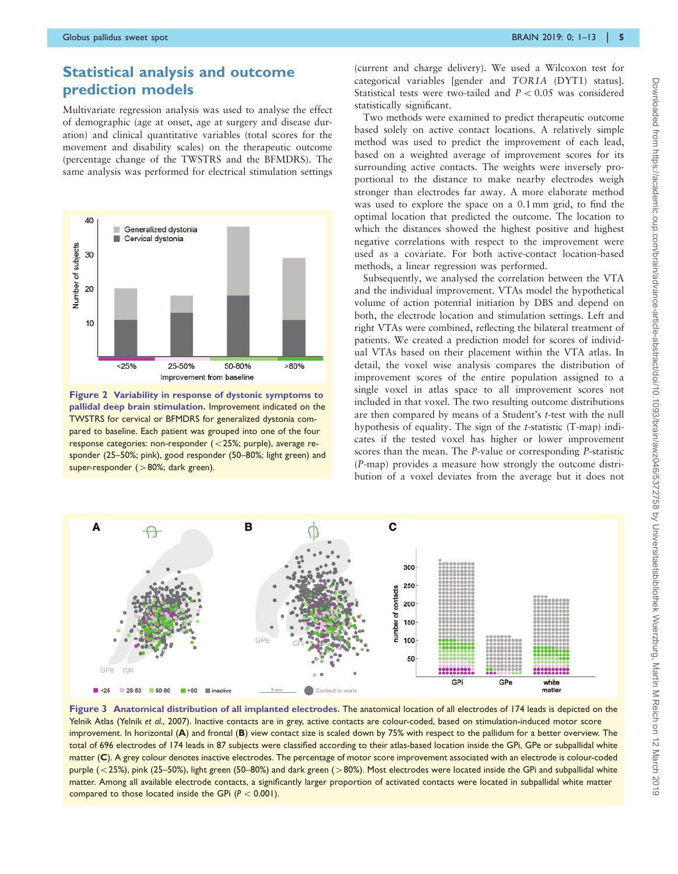## <span id="page-4-0"></span>Statistical analysis and outcome prediction models

Multivariate regression analysis was used to analyse the effect of demographic (age at onset, age at surgery and disease duration) and clinical quantitative variables (total scores for the movement and disability scales) on the therapeutic outcome (percentage change of the TWSTRS and the BFMDRS). The same analysis was performed for electrical stimulation settings



Figure 2 Variability in response of dystonic symptoms to pallidal deep brain stimulation. Improvement indicated on the TWSTRS for cervical or BFMDRS for generalized dystonia compared to baseline. Each patient was grouped into one of the four response categories: non-responder (525%; purple), average responder (25–50%; pink), good responder (50–80%; light green) and super-responder ( $>80\%$ ; dark green).

(current and charge delivery). We used a Wilcoxon test for categorical variables [gender and TOR1A (DYT1) status]. Statistical tests were two-tailed and  $P < 0.05$  was considered statistically significant.

Two methods were examined to predict therapeutic outcome based solely on active contact locations. A relatively simple method was used to predict the improvement of each lead, based on a weighted average of improvement scores for its surrounding active contacts. The weights were inversely proportional to the distance to make nearby electrodes weigh stronger than electrodes far away. A more elaborate method was used to explore the space on a 0.1 mm grid, to find the optimal location that predicted the outcome. The location to which the distances showed the highest positive and highest negative correlations with respect to the improvement were used as a covariate. For both active-contact location-based methods, a linear regression was performed.

Subsequently, we analysed the correlation between the VTA and the individual improvement. VTAs model the hypothetical volume of action potential initiation by DBS and depend on both, the electrode location and stimulation settings. Left and right VTAs were combined, reflecting the bilateral treatment of patients. We created a prediction model for scores of individual VTAs based on their placement within the VTA atlas. In detail, the voxel wise analysis compares the distribution of improvement scores of the entire population assigned to a single voxel in atlas space to all improvement scores not included in that voxel. The two resulting outcome distributions are then compared by means of a Student's t-test with the null hypothesis of equality. The sign of the t-statistic (T-map) indicates if the tested voxel has higher or lower improvement scores than the mean. The P-value or corresponding P-statistic (P-map) provides a measure how strongly the outcome distribution of a voxel deviates from the average but it does not



Figure 3 Anatomical distribution of all implanted electrodes. The anatomical location of all electrodes of 174 leads is depicted on the Yelnik Atlas (Yelnik et al.[, 2007\)](#page-12-0). Inactive contacts are in grey, active contacts are colour-coded, based on stimulation-induced motor score improvement. In horizontal (A) and frontal (B) view contact size is scaled down by 75% with respect to the pallidum for a better overview. The total of 696 electrodes of 174 leads in 87 subjects were classified according to their atlas-based location inside the GPi, GPe or subpallidal white matter (C). A grey colour denotes inactive electrodes. The percentage of motor score improvement associated with an electrode is colour-coded purple (<25%), pink (25–50%), light green (50–80%) and dark green (>80%). Most electrodes were located inside the GPi and subpallidal white matter. Among all available electrode contacts, a significantly larger proportion of activated contacts were located in subpallidal white matter compared to those located inside the GPi  $(P < 0.001)$ .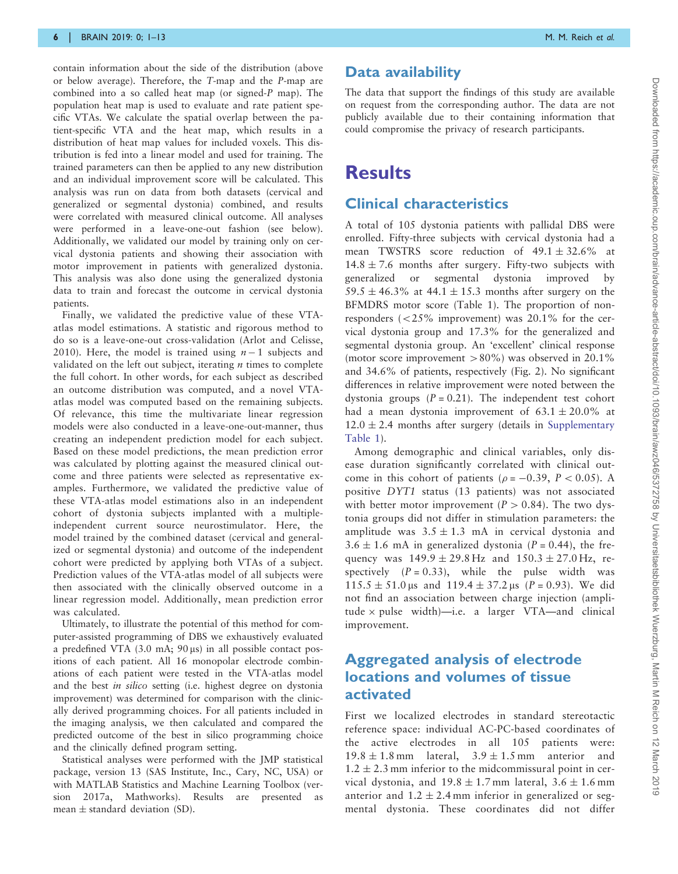contain information about the side of the distribution (above or below average). Therefore, the T-map and the P-map are combined into a so called heat map (or signed-P map). The population heat map is used to evaluate and rate patient specific VTAs. We calculate the spatial overlap between the patient-specific VTA and the heat map, which results in a distribution of heat map values for included voxels. This distribution is fed into a linear model and used for training. The trained parameters can then be applied to any new distribution and an individual improvement score will be calculated. This analysis was run on data from both datasets (cervical and generalized or segmental dystonia) combined, and results were correlated with measured clinical outcome. All analyses were performed in a leave-one-out fashion (see below). Additionally, we validated our model by training only on cervical dystonia patients and showing their association with motor improvement in patients with generalized dystonia. This analysis was also done using the generalized dystonia data to train and forecast the outcome in cervical dystonia patients.

Finally, we validated the predictive value of these VTAatlas model estimations. A statistic and rigorous method to do so is a leave-one-out cross-validation ([Arlot and Celisse,](#page-11-0) [2010](#page-11-0)). Here, the model is trained using  $n - 1$  subjects and validated on the left out subject, iterating  $n$  times to complete the full cohort. In other words, for each subject as described an outcome distribution was computed, and a novel VTAatlas model was computed based on the remaining subjects. Of relevance, this time the multivariate linear regression models were also conducted in a leave-one-out-manner, thus creating an independent prediction model for each subject. Based on these model predictions, the mean prediction error was calculated by plotting against the measured clinical outcome and three patients were selected as representative examples. Furthermore, we validated the predictive value of these VTA-atlas model estimations also in an independent cohort of dystonia subjects implanted with a multipleindependent current source neurostimulator. Here, the model trained by the combined dataset (cervical and generalized or segmental dystonia) and outcome of the independent cohort were predicted by applying both VTAs of a subject. Prediction values of the VTA-atlas model of all subjects were then associated with the clinically observed outcome in a linear regression model. Additionally, mean prediction error was calculated.

Ultimately, to illustrate the potential of this method for computer-assisted programming of DBS we exhaustively evaluated a predefined VTA (3.0 mA; 90 µs) in all possible contact positions of each patient. All 16 monopolar electrode combinations of each patient were tested in the VTA-atlas model and the best in silico setting (i.e. highest degree on dystonia improvement) was determined for comparison with the clinically derived programming choices. For all patients included in the imaging analysis, we then calculated and compared the predicted outcome of the best in silico programming choice and the clinically defined program setting.

Statistical analyses were performed with the JMP statistical package, version 13 (SAS Institute, Inc., Cary, NC, USA) or with MATLAB Statistics and Machine Learning Toolbox (version 2017a, Mathworks). Results are presented as mean  $\pm$  standard deviation (SD).

#### Data availability

The data that support the findings of this study are available on request from the corresponding author. The data are not publicly available due to their containing information that could compromise the privacy of research participants.

# **Results**

#### Clinical characteristics

A total of 105 dystonia patients with pallidal DBS were enrolled. Fifty-three subjects with cervical dystonia had a mean TWSTRS score reduction of  $49.1 \pm 32.6\%$  at  $14.8 \pm 7.6$  months after surgery. Fifty-two subjects with generalized or segmental dystonia improved by  $59.5 \pm 46.3\%$  at  $44.1 \pm 15.3$  months after surgery on the BFMDRS motor score [\(Table 1\)](#page-3-0). The proportion of nonresponders  $\left($  < 25% improvement) was 20.1% for the cervical dystonia group and 17.3% for the generalized and segmental dystonia group. An 'excellent' clinical response (motor score improvement  $>80\%$ ) was observed in 20.1% and 34.6% of patients, respectively [\(Fig. 2](#page-4-0)). No significant differences in relative improvement were noted between the dystonia groups  $(P = 0.21)$ . The independent test cohort had a mean dystonia improvement of  $63.1 \pm 20.0\%$  at  $12.0 \pm 2.4$  months after surgery (details in [Supplementary](https://academic.oup.com/brainj/article-lookup/doi/10.1093/brainj/awz46#supplementary-data) [Table 1\)](https://academic.oup.com/brainj/article-lookup/doi/10.1093/brainj/awz46#supplementary-data).

Among demographic and clinical variables, only disease duration significantly correlated with clinical outcome in this cohort of patients ( $\rho = -0.39$ ,  $P < 0.05$ ). A positive DYT1 status (13 patients) was not associated with better motor improvement ( $P > 0.84$ ). The two dystonia groups did not differ in stimulation parameters: the amplitude was  $3.5 \pm 1.3$  mA in cervical dystonia and  $3.6 \pm 1.6$  mA in generalized dystonia (P = 0.44), the frequency was  $149.9 \pm 29.8$  Hz and  $150.3 \pm 27.0$  Hz, respectively  $(P = 0.33)$ , while the pulse width was  $115.5 \pm 51.0 \,\mu s$  and  $119.4 \pm 37.2 \,\mu s$  (P = 0.93). We did not find an association between charge injection (amplitude  $\times$  pulse width)—i.e. a larger VTA—and clinical improvement.

## Aggregated analysis of electrode locations and volumes of tissue activated

First we localized electrodes in standard stereotactic reference space: individual AC-PC-based coordinates of the active electrodes in all 105 patients were:  $19.8 \pm 1.8$  mm lateral,  $3.9 \pm 1.5$  mm anterior and  $1.2 \pm 2.3$  mm inferior to the midcommissural point in cervical dystonia, and  $19.8 \pm 1.7$  mm lateral,  $3.6 \pm 1.6$  mm anterior and  $1.2 \pm 2.4$  mm inferior in generalized or segmental dystonia. These coordinates did not differ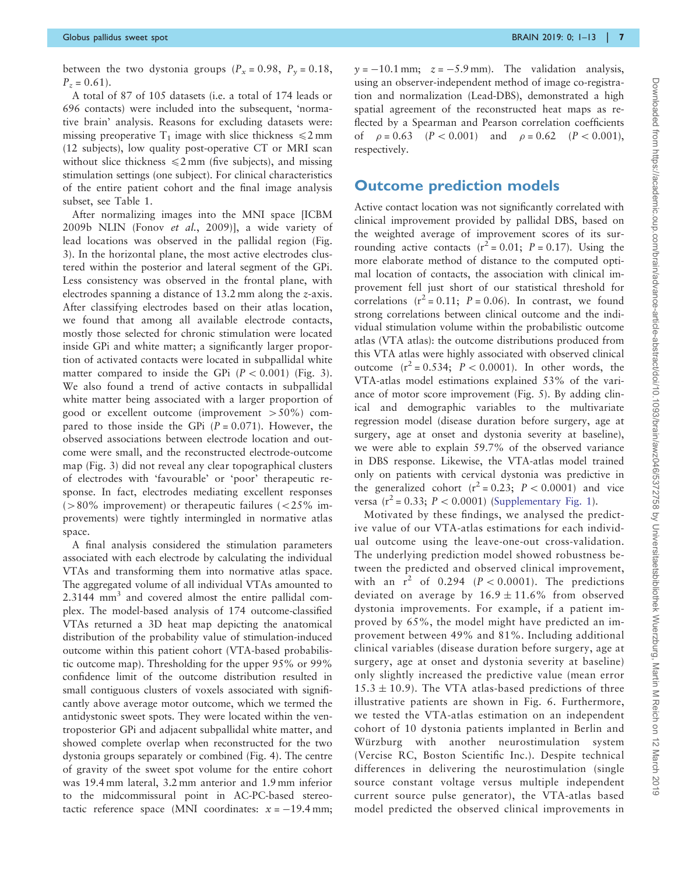between the two dystonia groups ( $P_x = 0.98$ ,  $P_y = 0.18$ ,  $P_z = 0.61$ .

A total of 87 of 105 datasets (i.e. a total of 174 leads or 696 contacts) were included into the subsequent, 'normative brain' analysis. Reasons for excluding datasets were: missing preoperative  $T_1$  image with slice thickness  $\leq 2$  mm (12 subjects), low quality post-operative CT or MRI scan without slice thickness  $\leq 2$  mm (five subjects), and missing stimulation settings (one subject). For clinical characteristics of the entire patient cohort and the final image analysis subset, see [Table 1.](#page-3-0)

After normalizing images into the MNI space [ICBM 2009b NLIN (Fonov et al.[, 2009](#page-12-0))], a wide variety of lead locations was observed in the pallidal region [\(Fig.](#page-4-0) [3\)](#page-4-0). In the horizontal plane, the most active electrodes clustered within the posterior and lateral segment of the GPi. Less consistency was observed in the frontal plane, with electrodes spanning a distance of 13.2 mm along the z-axis. After classifying electrodes based on their atlas location, we found that among all available electrode contacts, mostly those selected for chronic stimulation were located inside GPi and white matter; a significantly larger proportion of activated contacts were located in subpallidal white matter compared to inside the GPi  $(P < 0.001)$  ([Fig. 3\)](#page-4-0). We also found a trend of active contacts in subpallidal white matter being associated with a larger proportion of good or excellent outcome (improvement  $> 50\%$ ) compared to those inside the GPi  $(P = 0.071)$ . However, the observed associations between electrode location and outcome were small, and the reconstructed electrode-outcome map ([Fig. 3](#page-4-0)) did not reveal any clear topographical clusters of electrodes with 'favourable' or 'poor' therapeutic response. In fact, electrodes mediating excellent responses  $(580\%$  improvement) or therapeutic failures ( $525\%$  improvements) were tightly intermingled in normative atlas space.

A final analysis considered the stimulation parameters associated with each electrode by calculating the individual VTAs and transforming them into normative atlas space. The aggregated volume of all individual VTAs amounted to 2.3144 mm<sup>3</sup> and covered almost the entire pallidal complex. The model-based analysis of 174 outcome-classified VTAs returned a 3D heat map depicting the anatomical distribution of the probability value of stimulation-induced outcome within this patient cohort (VTA-based probabilistic outcome map). Thresholding for the upper 95% or 99% confidence limit of the outcome distribution resulted in small contiguous clusters of voxels associated with significantly above average motor outcome, which we termed the antidystonic sweet spots. They were located within the ventroposterior GPi and adjacent subpallidal white matter, and showed complete overlap when reconstructed for the two dystonia groups separately or combined ([Fig. 4](#page-7-0)). The centre of gravity of the sweet spot volume for the entire cohort was 19.4 mm lateral, 3.2 mm anterior and 1.9 mm inferior to the midcommissural point in AC-PC-based stereotactic reference space (MNI coordinates:  $x = -19.4$  mm;  $y = -10.1$  mm;  $z = -5.9$  mm). The validation analysis, using an observer-independent method of image co-registration and normalization (Lead-DBS), demonstrated a high spatial agreement of the reconstructed heat maps as reflected by a Spearman and Pearson correlation coefficients of  $\rho = 0.63$   $(P < 0.001)$  and  $\rho$  $(P < 0.001)$ , respectively.

#### Outcome prediction models

Active contact location was not significantly correlated with clinical improvement provided by pallidal DBS, based on the weighted average of improvement scores of its surrounding active contacts  $(r^2 = 0.01; P = 0.17)$ . Using the more elaborate method of distance to the computed optimal location of contacts, the association with clinical improvement fell just short of our statistical threshold for correlations  $(r^2 = 0.11; P = 0.06)$ . In contrast, we found strong correlations between clinical outcome and the individual stimulation volume within the probabilistic outcome atlas (VTA atlas): the outcome distributions produced from this VTA atlas were highly associated with observed clinical outcome  $(r^2 = 0.534; P < 0.0001)$ . In other words, the VTA-atlas model estimations explained 53% of the variance of motor score improvement ([Fig. 5](#page-8-0)). By adding clinical and demographic variables to the multivariate regression model (disease duration before surgery, age at surgery, age at onset and dystonia severity at baseline), we were able to explain 59.7% of the observed variance in DBS response. Likewise, the VTA-atlas model trained only on patients with cervical dystonia was predictive in the generalized cohort  $(r^2 = 0.23; P < 0.0001)$  and vice versa  $(r^2 = 0.33; P < 0.0001)$  ([Supplementary Fig. 1](https://academic.oup.com/brainj/article-lookup/doi/10.1093/brainj/awz46#supplementary-data)).

Motivated by these findings, we analysed the predictive value of our VTA-atlas estimations for each individual outcome using the leave-one-out cross-validation. The underlying prediction model showed robustness between the predicted and observed clinical improvement, with an  $r^2$  of 0.294 ( $P < 0.0001$ ). The predictions deviated on average by  $16.9 \pm 11.6\%$  from observed dystonia improvements. For example, if a patient improved by 65%, the model might have predicted an improvement between 49% and 81%. Including additional clinical variables (disease duration before surgery, age at surgery, age at onset and dystonia severity at baseline) only slightly increased the predictive value (mean error  $15.3 \pm 10.9$ ). The VTA atlas-based predictions of three illustrative patients are shown in [Fig. 6](#page-9-0). Furthermore, we tested the VTA-atlas estimation on an independent cohort of 10 dystonia patients implanted in Berlin and Würzburg with another neurostimulation system (Vercise RC, Boston Scientific Inc.). Despite technical differences in delivering the neurostimulation (single source constant voltage versus multiple independent current source pulse generator), the VTA-atlas based model predicted the observed clinical improvements in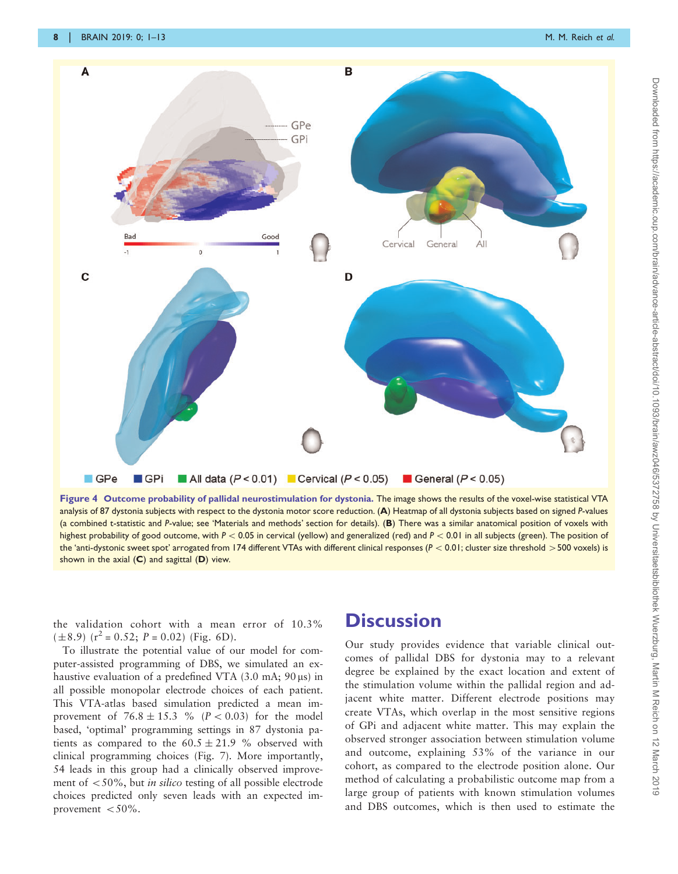<span id="page-7-0"></span>

analysis of 87 dystonia subjects with respect to the dystonia motor score reduction. (A) Heatmap of all dystonia subjects based on signed P-values (a combined t-statistic and P-value; see 'Materials and methods' section for details). (B) There was a similar anatomical position of voxels with highest probability of good outcome, with  $P < 0.05$  in cervical (yellow) and generalized (red) and  $P < 0.01$  in all subjects (green). The position of the 'anti-dystonic sweet spot' arrogated from 174 different VTAs with different clinical responses ( $P < 0.01$ ; cluster size threshold  $> 500$  voxels) is shown in the axial (C) and sagittal (D) view.

the validation cohort with a mean error of 10.3%  $(\pm 8.9)$   $(r^2 = 0.52; P = 0.02)$  ([Fig. 6D](#page-9-0)).

To illustrate the potential value of our model for computer-assisted programming of DBS, we simulated an exhaustive evaluation of a predefined VTA  $(3.0 \text{ mA}; 90 \mu s)$  in all possible monopolar electrode choices of each patient. This VTA-atlas based simulation predicted a mean improvement of  $76.8 \pm 15.3$  % ( $P < 0.03$ ) for the model based, 'optimal' programming settings in 87 dystonia patients as compared to the  $60.5 \pm 21.9$  % observed with clinical programming choices ([Fig. 7\)](#page-10-0). More importantly, 54 leads in this group had a clinically observed improvement of  $<$  50%, but *in silico* testing of all possible electrode choices predicted only seven leads with an expected improvement  $<$  50%.

# **Discussion**

Our study provides evidence that variable clinical outcomes of pallidal DBS for dystonia may to a relevant degree be explained by the exact location and extent of the stimulation volume within the pallidal region and adjacent white matter. Different electrode positions may create VTAs, which overlap in the most sensitive regions of GPi and adjacent white matter. This may explain the observed stronger association between stimulation volume and outcome, explaining 53% of the variance in our cohort, as compared to the electrode position alone. Our method of calculating a probabilistic outcome map from a large group of patients with known stimulation volumes and DBS outcomes, which is then used to estimate the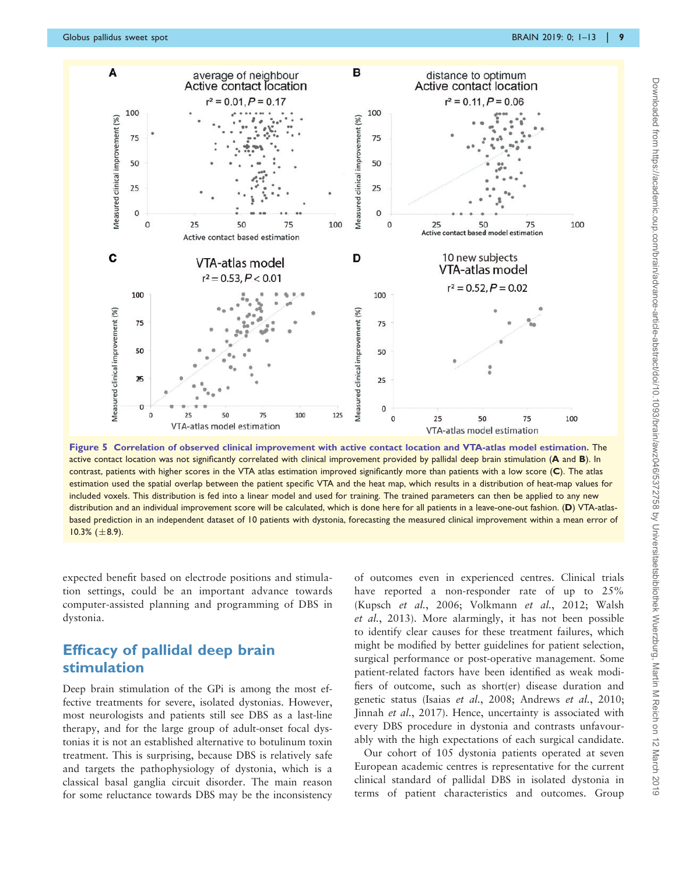<span id="page-8-0"></span>

Figure 5 Correlation of observed clinical improvement with active contact location and VTA-atlas model estimation. The active contact location was not significantly correlated with clinical improvement provided by pallidal deep brain stimulation (A and B). In contrast, patients with higher scores in the VTA atlas estimation improved significantly more than patients with a low score (C). The atlas estimation used the spatial overlap between the patient specific VTA and the heat map, which results in a distribution of heat-map values for included voxels. This distribution is fed into a linear model and used for training. The trained parameters can then be applied to any new distribution and an individual improvement score will be calculated, which is done here for all patients in a leave-one-out fashion. (D) VTA-atlasbased prediction in an independent dataset of 10 patients with dystonia, forecasting the measured clinical improvement within a mean error of  $10.3\%$  ( $\pm 8.9$ ).

expected benefit based on electrode positions and stimulation settings, could be an important advance towards computer-assisted planning and programming of DBS in dystonia.

## Efficacy of pallidal deep brain stimulation

Deep brain stimulation of the GPi is among the most effective treatments for severe, isolated dystonias. However, most neurologists and patients still see DBS as a last-line therapy, and for the large group of adult-onset focal dystonias it is not an established alternative to botulinum toxin treatment. This is surprising, because DBS is relatively safe and targets the pathophysiology of dystonia, which is a classical basal ganglia circuit disorder. The main reason for some reluctance towards DBS may be the inconsistency of outcomes even in experienced centres. Clinical trials have reported a non-responder rate of up to 25% (Kupsch et al.[, 2006](#page-12-0); [Volkmann](#page-12-0) et al., 2012; [Walsh](#page-12-0) et al.[, 2013](#page-12-0)). More alarmingly, it has not been possible to identify clear causes for these treatment failures, which might be modified by better guidelines for patient selection, surgical performance or post-operative management. Some patient-related factors have been identified as weak modifiers of outcome, such as short(er) disease duration and genetic status (Isaias et al.[, 2008;](#page-12-0) [Andrews](#page-11-0) et al., 2010; Jinnah et al.[, 2017\)](#page-12-0). Hence, uncertainty is associated with every DBS procedure in dystonia and contrasts unfavourably with the high expectations of each surgical candidate.

Our cohort of 105 dystonia patients operated at seven European academic centres is representative for the current clinical standard of pallidal DBS in isolated dystonia in terms of patient characteristics and outcomes. Group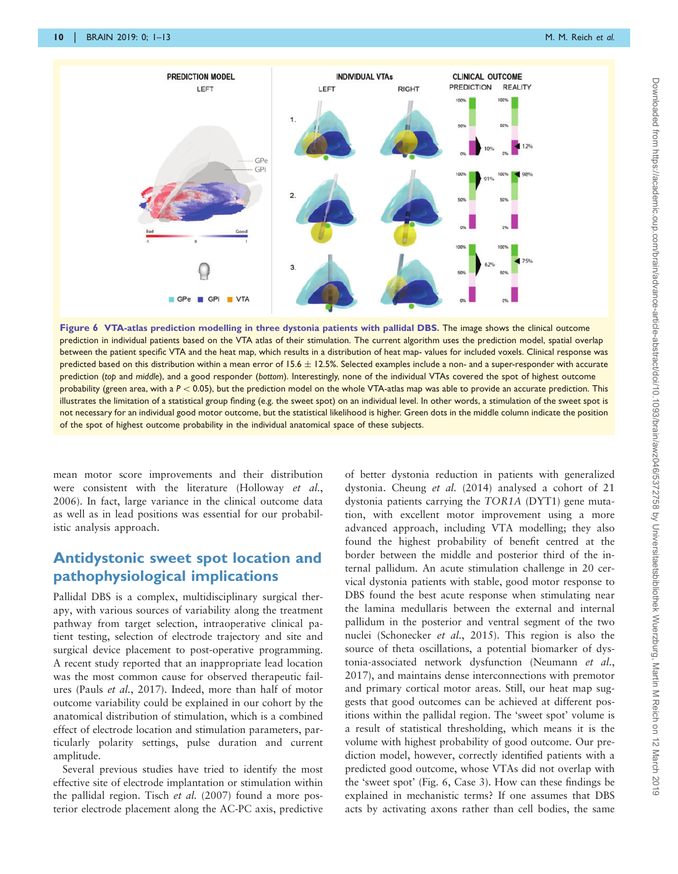<span id="page-9-0"></span>

Figure 6 VTA-atlas prediction modelling in three dystonia patients with pallidal DBS. The image shows the clinical outcome prediction in individual patients based on the VTA atlas of their stimulation. The current algorithm uses the prediction model, spatial overlap between the patient specific VTA and the heat map, which results in a distribution of heat map- values for included voxels. Clinical response was predicted based on this distribution within a mean error of 15.6  $\pm$  12.5%. Selected examples include a non- and a super-responder with accurate prediction (top and middle), and a good responder (bottom). Interestingly, none of the individual VTAs covered the spot of highest outcome probability (green area, with a  $P < 0.05$ ), but the prediction model on the whole VTA-atlas map was able to provide an accurate prediction. This illustrates the limitation of a statistical group finding (e.g. the sweet spot) on an individual level. In other words, a stimulation of the sweet spot is not necessary for an individual good motor outcome, but the statistical likelihood is higher. Green dots in the middle column indicate the position of the spot of highest outcome probability in the individual anatomical space of these subjects.

mean motor score improvements and their distribution were consistent with the literature ([Holloway](#page-12-0) et al., [2006](#page-12-0)). In fact, large variance in the clinical outcome data as well as in lead positions was essential for our probabilistic analysis approach.

## Antidystonic sweet spot location and pathophysiological implications

Pallidal DBS is a complex, multidisciplinary surgical therapy, with various sources of variability along the treatment pathway from target selection, intraoperative clinical patient testing, selection of electrode trajectory and site and surgical device placement to post-operative programming. A recent study reported that an inappropriate lead location was the most common cause for observed therapeutic failures (Pauls et al.[, 2017\)](#page-12-0). Indeed, more than half of motor outcome variability could be explained in our cohort by the anatomical distribution of stimulation, which is a combined effect of electrode location and stimulation parameters, particularly polarity settings, pulse duration and current amplitude.

Several previous studies have tried to identify the most effective site of electrode implantation or stimulation within the pallidal region. Tisch et al. [\(2007\)](#page-12-0) found a more posterior electrode placement along the AC-PC axis, predictive

of better dystonia reduction in patients with generalized dystonia. [Cheung](#page-12-0) et al. (2014) analysed a cohort of 21 dystonia patients carrying the TOR1A (DYT1) gene mutation, with excellent motor improvement using a more advanced approach, including VTA modelling; they also found the highest probability of benefit centred at the border between the middle and posterior third of the internal pallidum. An acute stimulation challenge in 20 cervical dystonia patients with stable, good motor response to DBS found the best acute response when stimulating near the lamina medullaris between the external and internal pallidum in the posterior and ventral segment of the two nuclei [\(Schonecker](#page-12-0) et al., 2015). This region is also the source of theta oscillations, a potential biomarker of dystonia-associated network dysfunction [\(Neumann](#page-12-0) et al., [2017\)](#page-12-0), and maintains dense interconnections with premotor and primary cortical motor areas. Still, our heat map suggests that good outcomes can be achieved at different positions within the pallidal region. The 'sweet spot' volume is a result of statistical thresholding, which means it is the volume with highest probability of good outcome. Our prediction model, however, correctly identified patients with a predicted good outcome, whose VTAs did not overlap with the 'sweet spot' (Fig. 6, Case 3). How can these findings be explained in mechanistic terms? If one assumes that DBS acts by activating axons rather than cell bodies, the same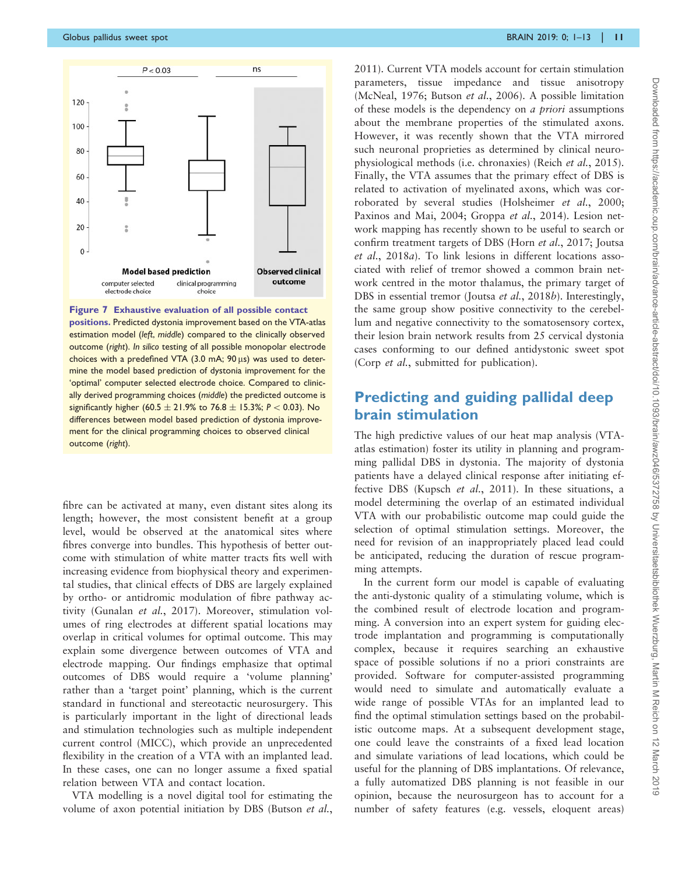<span id="page-10-0"></span>



fibre can be activated at many, even distant sites along its length; however, the most consistent benefit at a group level, would be observed at the anatomical sites where fibres converge into bundles. This hypothesis of better outcome with stimulation of white matter tracts fits well with increasing evidence from biophysical theory and experimental studies, that clinical effects of DBS are largely explained by ortho- or antidromic modulation of fibre pathway activity [\(Gunalan](#page-12-0) et al., 2017). Moreover, stimulation volumes of ring electrodes at different spatial locations may overlap in critical volumes for optimal outcome. This may explain some divergence between outcomes of VTA and electrode mapping. Our findings emphasize that optimal outcomes of DBS would require a 'volume planning' rather than a 'target point' planning, which is the current standard in functional and stereotactic neurosurgery. This is particularly important in the light of directional leads and stimulation technologies such as multiple independent current control (MICC), which provide an unprecedented flexibility in the creation of a VTA with an implanted lead. In these cases, one can no longer assume a fixed spatial relation between VTA and contact location.

VTA modelling is a novel digital tool for estimating the volume of axon potential initiation by DBS [\(Butson](#page-12-0) et al.,

[2011](#page-12-0)). Current VTA models account for certain stimulation parameters, tissue impedance and tissue anisotropy ([McNeal, 1976; Butson](#page-12-0) et al., 2006). A possible limitation of these models is the dependency on a priori assumptions about the membrane properties of the stimulated axons. However, it was recently shown that the VTA mirrored such neuronal proprieties as determined by clinical neurophysiological methods (i.e. chronaxies) (Reich et al.[, 2015\)](#page-12-0). Finally, the VTA assumes that the primary effect of DBS is related to activation of myelinated axons, which was corroborated by several studies ([Holsheimer](#page-12-0) et al., 2000; [Paxinos and Mai, 2004](#page-12-0); [Groppa](#page-12-0) et al., 2014). Lesion network mapping has recently shown to be useful to search or confirm treatment targets of DBS (Horn et al.[, 2017](#page-12-0); [Joutsa](#page-12-0) et al.[, 2018](#page-12-0)a). To link lesions in different locations associated with relief of tremor showed a common brain network centred in the motor thalamus, the primary target of DBS in essential tremor (Joutsa et al.[, 2018](#page-12-0)b). Interestingly, the same group show positive connectivity to the cerebellum and negative connectivity to the somatosensory cortex, their lesion brain network results from 25 cervical dystonia cases conforming to our defined antidystonic sweet spot (Corp et al., submitted for publication).

## Predicting and guiding pallidal deep brain stimulation

The high predictive values of our heat map analysis (VTAatlas estimation) foster its utility in planning and programming pallidal DBS in dystonia. The majority of dystonia patients have a delayed clinical response after initiating effective DBS [\(Kupsch](#page-12-0) et al., 2011). In these situations, a model determining the overlap of an estimated individual VTA with our probabilistic outcome map could guide the selection of optimal stimulation settings. Moreover, the need for revision of an inappropriately placed lead could be anticipated, reducing the duration of rescue programming attempts.

In the current form our model is capable of evaluating the anti-dystonic quality of a stimulating volume, which is the combined result of electrode location and programming. A conversion into an expert system for guiding electrode implantation and programming is computationally complex, because it requires searching an exhaustive space of possible solutions if no a priori constraints are provided. Software for computer-assisted programming would need to simulate and automatically evaluate a wide range of possible VTAs for an implanted lead to find the optimal stimulation settings based on the probabilistic outcome maps. At a subsequent development stage, one could leave the constraints of a fixed lead location and simulate variations of lead locations, which could be useful for the planning of DBS implantations. Of relevance, a fully automatized DBS planning is not feasible in our opinion, because the neurosurgeon has to account for a number of safety features (e.g. vessels, eloquent areas)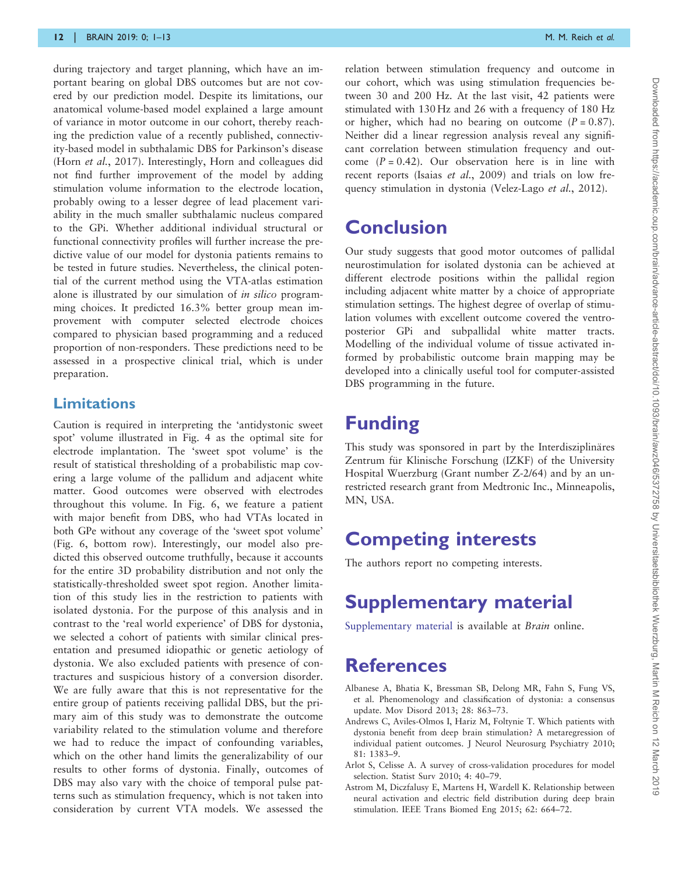<span id="page-11-0"></span>during trajectory and target planning, which have an important bearing on global DBS outcomes but are not covered by our prediction model. Despite its limitations, our anatomical volume-based model explained a large amount of variance in motor outcome in our cohort, thereby reaching the prediction value of a recently published, connectivity-based model in subthalamic DBS for Parkinson's disease (Horn et al.[, 2017\)](#page-12-0). Interestingly, Horn and colleagues did not find further improvement of the model by adding stimulation volume information to the electrode location, probably owing to a lesser degree of lead placement variability in the much smaller subthalamic nucleus compared to the GPi. Whether additional individual structural or functional connectivity profiles will further increase the predictive value of our model for dystonia patients remains to be tested in future studies. Nevertheless, the clinical potential of the current method using the VTA-atlas estimation alone is illustrated by our simulation of in silico programming choices. It predicted 16.3% better group mean improvement with computer selected electrode choices compared to physician based programming and a reduced proportion of non-responders. These predictions need to be assessed in a prospective clinical trial, which is under preparation.

#### Limitations

Caution is required in interpreting the 'antidystonic sweet spot' volume illustrated in [Fig. 4](#page-7-0) as the optimal site for electrode implantation. The 'sweet spot volume' is the result of statistical thresholding of a probabilistic map covering a large volume of the pallidum and adjacent white matter. Good outcomes were observed with electrodes throughout this volume. In [Fig. 6](#page-9-0), we feature a patient with major benefit from DBS, who had VTAs located in both GPe without any coverage of the 'sweet spot volume' [\(Fig. 6,](#page-9-0) bottom row). Interestingly, our model also predicted this observed outcome truthfully, because it accounts for the entire 3D probability distribution and not only the statistically-thresholded sweet spot region. Another limitation of this study lies in the restriction to patients with isolated dystonia. For the purpose of this analysis and in contrast to the 'real world experience' of DBS for dystonia, we selected a cohort of patients with similar clinical presentation and presumed idiopathic or genetic aetiology of dystonia. We also excluded patients with presence of contractures and suspicious history of a conversion disorder. We are fully aware that this is not representative for the entire group of patients receiving pallidal DBS, but the primary aim of this study was to demonstrate the outcome variability related to the stimulation volume and therefore we had to reduce the impact of confounding variables, which on the other hand limits the generalizability of our results to other forms of dystonia. Finally, outcomes of DBS may also vary with the choice of temporal pulse patterns such as stimulation frequency, which is not taken into consideration by current VTA models. We assessed the

relation between stimulation frequency and outcome in our cohort, which was using stimulation frequencies between 30 and 200 Hz. At the last visit, 42 patients were stimulated with 130 Hz and 26 with a frequency of 180 Hz or higher, which had no bearing on outcome  $(P = 0.87)$ . Neither did a linear regression analysis reveal any significant correlation between stimulation frequency and outcome  $(P = 0.42)$ . Our observation here is in line with recent reports (Isaias et al.[, 2009\)](#page-12-0) and trials on low fre-quency stimulation in dystonia ([Velez-Lago](#page-12-0) *et al.*, 2012).

# **Conclusion**

Our study suggests that good motor outcomes of pallidal neurostimulation for isolated dystonia can be achieved at different electrode positions within the pallidal region including adjacent white matter by a choice of appropriate stimulation settings. The highest degree of overlap of stimulation volumes with excellent outcome covered the ventroposterior GPi and subpallidal white matter tracts. Modelling of the individual volume of tissue activated informed by probabilistic outcome brain mapping may be developed into a clinically useful tool for computer-assisted DBS programming in the future.

# Funding

This study was sponsored in part by the Interdisziplinaties Zentrum für Klinische Forschung (IZKF) of the University Hospital Wuerzburg (Grant number Z-2/64) and by an unrestricted research grant from Medtronic Inc., Minneapolis, MN, USA.

# Competing interests

The authors report no competing interests.

# Supplementary material

[Supplementary material](https://academic.oup.com/brainj/article-lookup/doi/10.1093/brainj/awz46#supplementary-data) is available at Brain online.

# **References**

- Albanese A, Bhatia K, Bressman SB, Delong MR, Fahn S, Fung VS, et al. Phenomenology and classification of dystonia: a consensus update. Mov Disord 2013; 28: 863–73.
- Andrews C, Aviles-Olmos I, Hariz M, Foltynie T. Which patients with dystonia benefit from deep brain stimulation? A metaregression of individual patient outcomes. J Neurol Neurosurg Psychiatry 2010; 81: 1383–9.
- Arlot S, Celisse A. A survey of cross-validation procedures for model selection. Statist Surv 2010; 4: 40–79.
- Astrom M, Diczfalusy E, Martens H, Wardell K. Relationship between neural activation and electric field distribution during deep brain stimulation. IEEE Trans Biomed Eng 2015; 62: 664–72.